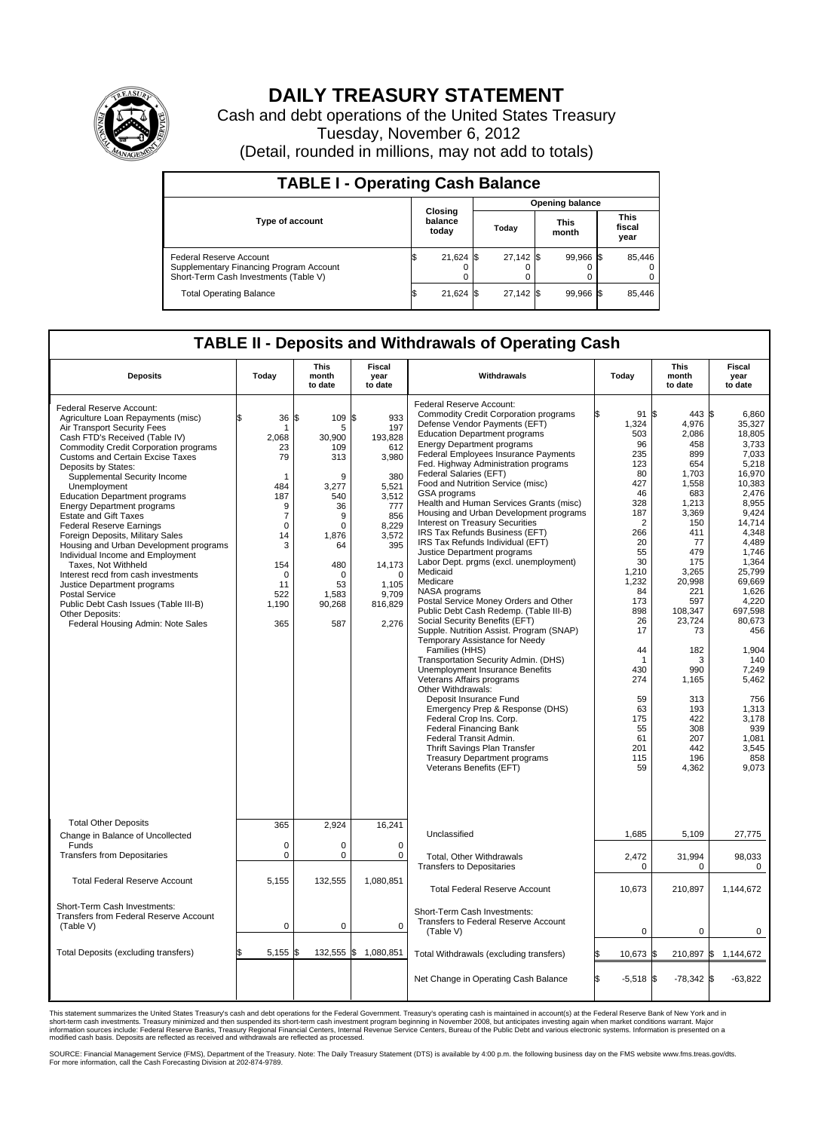

## **DAILY TREASURY STATEMENT**

Cash and debt operations of the United States Treasury Tuesday, November 6, 2012 (Detail, rounded in millions, may not add to totals)

| <b>TABLE I - Operating Cash Balance</b>                                                                     |                             |  |                        |  |                      |  |                               |  |  |  |  |
|-------------------------------------------------------------------------------------------------------------|-----------------------------|--|------------------------|--|----------------------|--|-------------------------------|--|--|--|--|
|                                                                                                             |                             |  | <b>Opening balance</b> |  |                      |  |                               |  |  |  |  |
| <b>Type of account</b>                                                                                      | Closing<br>balance<br>today |  | Today                  |  | <b>This</b><br>month |  | <b>This</b><br>fiscal<br>year |  |  |  |  |
| Federal Reserve Account<br>Supplementary Financing Program Account<br>Short-Term Cash Investments (Table V) | $21,624$ \$<br>0            |  | 27,142 \$              |  | 99,966 \$            |  | 85,446<br>$\Omega$<br>0       |  |  |  |  |
| <b>Total Operating Balance</b>                                                                              | 21,624 \$                   |  | 27.142 \$              |  | 99,966 \$            |  | 85,446                        |  |  |  |  |

## **TABLE II - Deposits and Withdrawals of Operating Cash**

| <b>Deposits</b>                                                                                                                                                                                                                                                                                                                                                                                                                                                                                                                                                                                                                                                                                                                                                              | Today                                                                                                                                     | <b>This</b><br>month<br>to date                                                                                                                           | Fiscal<br>year<br>to date                                                                                                                                                  | Withdrawals                                                                                                                                                                                                                                                                                                                                                                                                                                                                                                                                                                                                                                                                                                                                                                                                                                                                                                                                                                                                                                                                                                                                                                                                                                                                   | Today                                                                                                                                                                                                                                              | This<br>month<br>to date                                                                                                                                                                                                                                                     | Fiscal<br>vear<br>to date                                                                                                                                                                                                                                                                                               |  |  |
|------------------------------------------------------------------------------------------------------------------------------------------------------------------------------------------------------------------------------------------------------------------------------------------------------------------------------------------------------------------------------------------------------------------------------------------------------------------------------------------------------------------------------------------------------------------------------------------------------------------------------------------------------------------------------------------------------------------------------------------------------------------------------|-------------------------------------------------------------------------------------------------------------------------------------------|-----------------------------------------------------------------------------------------------------------------------------------------------------------|----------------------------------------------------------------------------------------------------------------------------------------------------------------------------|-------------------------------------------------------------------------------------------------------------------------------------------------------------------------------------------------------------------------------------------------------------------------------------------------------------------------------------------------------------------------------------------------------------------------------------------------------------------------------------------------------------------------------------------------------------------------------------------------------------------------------------------------------------------------------------------------------------------------------------------------------------------------------------------------------------------------------------------------------------------------------------------------------------------------------------------------------------------------------------------------------------------------------------------------------------------------------------------------------------------------------------------------------------------------------------------------------------------------------------------------------------------------------|----------------------------------------------------------------------------------------------------------------------------------------------------------------------------------------------------------------------------------------------------|------------------------------------------------------------------------------------------------------------------------------------------------------------------------------------------------------------------------------------------------------------------------------|-------------------------------------------------------------------------------------------------------------------------------------------------------------------------------------------------------------------------------------------------------------------------------------------------------------------------|--|--|
| Federal Reserve Account:<br>Agriculture Loan Repayments (misc)<br>Air Transport Security Fees<br>Cash FTD's Received (Table IV)<br>Commodity Credit Corporation programs<br><b>Customs and Certain Excise Taxes</b><br>Deposits by States:<br>Supplemental Security Income<br>Unemployment<br><b>Education Department programs</b><br><b>Energy Department programs</b><br><b>Estate and Gift Taxes</b><br><b>Federal Reserve Earnings</b><br>Foreign Deposits, Military Sales<br>Housing and Urban Development programs<br>Individual Income and Employment<br>Taxes, Not Withheld<br>Interest recd from cash investments<br>Justice Department programs<br>Postal Service<br>Public Debt Cash Issues (Table III-B)<br>Other Deposits:<br>Federal Housing Admin: Note Sales | 36<br>1<br>2,068<br>23<br>79<br>1<br>484<br>187<br>9<br>$\overline{7}$<br>0<br>14<br>3<br>154<br>$\mathbf 0$<br>11<br>522<br>1,190<br>365 | l\$<br>109<br>5<br>30,900<br>109<br>313<br>9<br>3,277<br>540<br>36<br>9<br>$\pmb{0}$<br>1,876<br>64<br>480<br>$\mathbf 0$<br>53<br>1,583<br>90,268<br>587 | \$<br>933<br>197<br>193,828<br>612<br>3,980<br>380<br>5,521<br>3,512<br>777<br>856<br>8,229<br>3,572<br>395<br>14,173<br>$\mathbf 0$<br>1,105<br>9.709<br>816,829<br>2,276 | Federal Reserve Account:<br><b>Commodity Credit Corporation programs</b><br>Defense Vendor Payments (EFT)<br><b>Education Department programs</b><br><b>Energy Department programs</b><br>Federal Employees Insurance Payments<br>Fed. Highway Administration programs<br>Federal Salaries (EFT)<br>Food and Nutrition Service (misc)<br>GSA programs<br>Health and Human Services Grants (misc)<br>Housing and Urban Development programs<br>Interest on Treasury Securities<br>IRS Tax Refunds Business (EFT)<br>IRS Tax Refunds Individual (EFT)<br>Justice Department programs<br>Labor Dept. prgms (excl. unemployment)<br>Medicaid<br>Medicare<br>NASA programs<br>Postal Service Money Orders and Other<br>Public Debt Cash Redemp. (Table III-B)<br>Social Security Benefits (EFT)<br>Supple. Nutrition Assist. Program (SNAP)<br>Temporary Assistance for Needy<br>Families (HHS)<br>Transportation Security Admin. (DHS)<br>Unemployment Insurance Benefits<br>Veterans Affairs programs<br>Other Withdrawals:<br>Deposit Insurance Fund<br>Emergency Prep & Response (DHS)<br>Federal Crop Ins. Corp.<br><b>Federal Financing Bank</b><br>Federal Transit Admin.<br>Thrift Savings Plan Transfer<br><b>Treasury Department programs</b><br>Veterans Benefits (EFT) | 91S<br>1,324<br>503<br>96<br>235<br>123<br>80<br>427<br>46<br>328<br>187<br>$\overline{2}$<br>266<br>20<br>55<br>30<br>1.210<br>1,232<br>84<br>173<br>898<br>26<br>17<br>44<br>-1<br>430<br>274<br>59<br>63<br>175<br>55<br>61<br>201<br>115<br>59 | 443 \$<br>4,976<br>2,086<br>458<br>899<br>654<br>1,703<br>1,558<br>683<br>1,213<br>3,369<br>150<br>411<br>77<br>479<br>175<br>3.265<br>20,998<br>221<br>597<br>108,347<br>23,724<br>73<br>182<br>3<br>990<br>1,165<br>313<br>193<br>422<br>308<br>207<br>442<br>196<br>4,362 | 6.860<br>35,327<br>18,805<br>3,733<br>7,033<br>5,218<br>16,970<br>10.383<br>2,476<br>8,955<br>9,424<br>14.714<br>4,348<br>4,489<br>1,746<br>1,364<br>25.799<br>69,669<br>1.626<br>4,220<br>697,598<br>80,673<br>456<br>1,904<br>140<br>7,249<br>5,462<br>756<br>1,313<br>3,178<br>939<br>1,081<br>3,545<br>858<br>9,073 |  |  |
| <b>Total Other Deposits</b><br>Change in Balance of Uncollected                                                                                                                                                                                                                                                                                                                                                                                                                                                                                                                                                                                                                                                                                                              | 365                                                                                                                                       | 2,924                                                                                                                                                     | 16,241                                                                                                                                                                     | Unclassified                                                                                                                                                                                                                                                                                                                                                                                                                                                                                                                                                                                                                                                                                                                                                                                                                                                                                                                                                                                                                                                                                                                                                                                                                                                                  | 1,685                                                                                                                                                                                                                                              | 5,109                                                                                                                                                                                                                                                                        | 27,775                                                                                                                                                                                                                                                                                                                  |  |  |
| Funds<br><b>Transfers from Depositaries</b>                                                                                                                                                                                                                                                                                                                                                                                                                                                                                                                                                                                                                                                                                                                                  | $\mathbf 0$<br>$\mathbf 0$                                                                                                                | 0<br>$\mathbf 0$                                                                                                                                          | $\mathbf 0$<br>$\mathbf 0$                                                                                                                                                 | Total, Other Withdrawals<br><b>Transfers to Depositaries</b>                                                                                                                                                                                                                                                                                                                                                                                                                                                                                                                                                                                                                                                                                                                                                                                                                                                                                                                                                                                                                                                                                                                                                                                                                  | 2,472<br>$\mathbf 0$                                                                                                                                                                                                                               | 31,994<br>$\mathbf 0$                                                                                                                                                                                                                                                        | 98,033<br>0                                                                                                                                                                                                                                                                                                             |  |  |
| <b>Total Federal Reserve Account</b>                                                                                                                                                                                                                                                                                                                                                                                                                                                                                                                                                                                                                                                                                                                                         | 5,155                                                                                                                                     | 132,555                                                                                                                                                   | 1,080,851                                                                                                                                                                  | <b>Total Federal Reserve Account</b>                                                                                                                                                                                                                                                                                                                                                                                                                                                                                                                                                                                                                                                                                                                                                                                                                                                                                                                                                                                                                                                                                                                                                                                                                                          | 10,673                                                                                                                                                                                                                                             | 210,897                                                                                                                                                                                                                                                                      | 1,144,672                                                                                                                                                                                                                                                                                                               |  |  |
| Short-Term Cash Investments:<br>Transfers from Federal Reserve Account<br>(Table V)                                                                                                                                                                                                                                                                                                                                                                                                                                                                                                                                                                                                                                                                                          | $\mathbf 0$                                                                                                                               | 0                                                                                                                                                         | $\mathbf 0$                                                                                                                                                                | Short-Term Cash Investments:<br>Transfers to Federal Reserve Account<br>(Table V)                                                                                                                                                                                                                                                                                                                                                                                                                                                                                                                                                                                                                                                                                                                                                                                                                                                                                                                                                                                                                                                                                                                                                                                             | $\mathbf 0$                                                                                                                                                                                                                                        | 0                                                                                                                                                                                                                                                                            | 0                                                                                                                                                                                                                                                                                                                       |  |  |
| Total Deposits (excluding transfers)                                                                                                                                                                                                                                                                                                                                                                                                                                                                                                                                                                                                                                                                                                                                         | $5,155$ \$                                                                                                                                | 132,555                                                                                                                                                   | \$<br>1,080,851                                                                                                                                                            | Total Withdrawals (excluding transfers)                                                                                                                                                                                                                                                                                                                                                                                                                                                                                                                                                                                                                                                                                                                                                                                                                                                                                                                                                                                                                                                                                                                                                                                                                                       | 10,673 \$<br>S                                                                                                                                                                                                                                     |                                                                                                                                                                                                                                                                              | 210,897 \$ 1,144,672                                                                                                                                                                                                                                                                                                    |  |  |
|                                                                                                                                                                                                                                                                                                                                                                                                                                                                                                                                                                                                                                                                                                                                                                              |                                                                                                                                           |                                                                                                                                                           |                                                                                                                                                                            | Net Change in Operating Cash Balance                                                                                                                                                                                                                                                                                                                                                                                                                                                                                                                                                                                                                                                                                                                                                                                                                                                                                                                                                                                                                                                                                                                                                                                                                                          | S.<br>$-5,518$ \$                                                                                                                                                                                                                                  | $-78,342$ \$                                                                                                                                                                                                                                                                 | $-63,822$                                                                                                                                                                                                                                                                                                               |  |  |

This statement summarizes the United States Treasury's cash and debt operations for the Federal Government. Treasury's operating cash is maintained in account(s) at the Federal Reserve Bank of New York and in<br>short-term ca

SOURCE: Financial Management Service (FMS), Department of the Treasury. Note: The Daily Treasury Statement (DTS) is available by 4:00 p.m. the following business day on the FMS website www.fms.treas.gov/dts.<br>For more infor